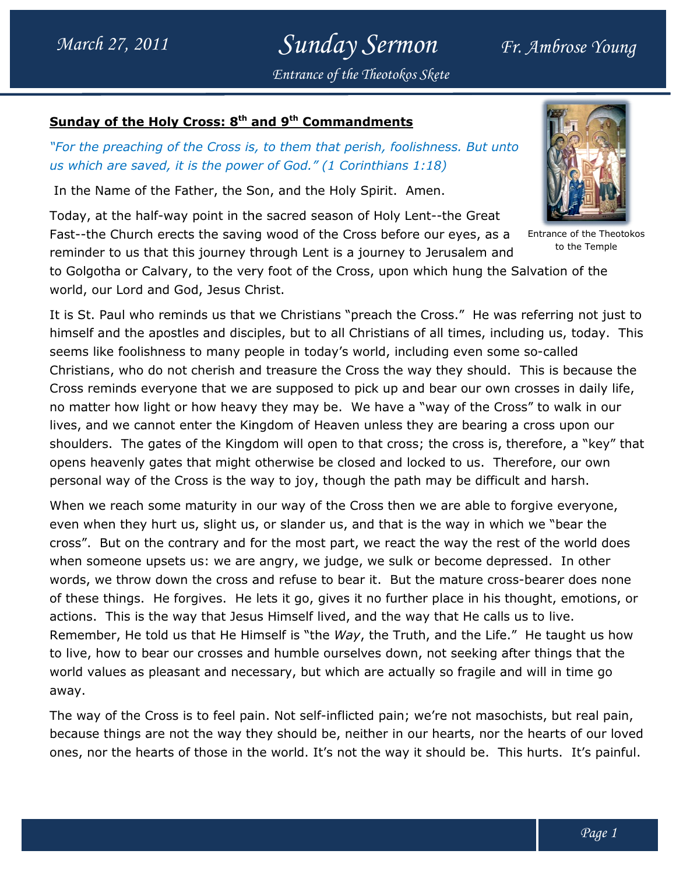### Sunday Sermon Entrance of the Theotokos Skete

#### Sunday of the Holy Cross: 8<sup>th</sup> and 9<sup>th</sup> Commandments

### "For the preaching of the Cross is, to them that perish, foolishness. But unto us which are saved, it is the power of God." (1 Corinthians 1:18) (1 Corinthians

In the Name of the Father, the Son, and the Holy Spirit. Amen.

Today, at the half-way point in the sacred season of Holy Lent--the Great Fast--the Church erects the saving wood of the Cross before our eyes, as a Fast--the Church erects the saving wood of the Cross before our eyes, as a<br>reminder to us that this journey through Lent is a journey to Jerusalem and

to Golgotha or Calvary, to the very foot of the Cross, upon which hung the Salvation of the world, our Lord and God, Jesus Christ.

world, our Lord and God, Jesus Christ.<br>It is St. Paul who reminds us that we Christians "preach the Cross." He was referring not just to himself and the apostles and disciples, but to all Christians of all times, including us, today. today. This seems like foolishness to many people in today's world, including even some so-called Christians, who do not cherish and treasure the Cross the way they should. This is because the Cross reminds everyone that we are supposed to pick up and bear our own crosses in daily life, no matter how light or how heavy they may be. We have a "way of the Cross" to walk in our lives, and we cannot enter the Kingdom of Heaven unless they are bearing a cross upon our shoulders. The gates of the Kingdom will open to that cross; the cross is, therefore, a "key" that opens heavenly gates that might otherwise be closed and locked to us. personal way of the Cross is the way to joy, though the path may be difficult and harsh. Christians, who do not cherish and treasure the Cross the way they should. This is because tl<br>Cross reminds everyone that we are supposed to pick up and bear our own crosses in daily lif(<br>no matter how light or how heavy t l we cannot enter the Kingdom of Heaven unless they are bearing a cross upon our<br>s. The gates of the Kingdom will open to that cross; the cross is, therefore, a "key"<br>avenly gates that might otherwise be closed and locked the Cross" to walk ir<br>earing a cross upon<br>ss is, therefore, a "k<br>us. Therefore, our o

When we reach some maturity in our way of the Cross then we are able to forgive ever even when they hurt us, slight us, or slander us, and that is the way in which we "bear the cross". But on the contrary and for the most part, we react the way the rest of the world does when someone upsets us: we are angry, we judge, we sulk or bec ome depressed. In other words, we throw down the cross and refuse to bear it. But the mature cross-bearer does none of these things. He forgives. He lets it go, gives it no further place in his thought, emotions, or<br>actions. This is the way that Jesus Himself lived, and the way that He calls us to live. actions. This is the way that Jesus Himself lived, and the way that He calls us to live. Remember, He told us that He Himself is "the Way, the Truth, and the Life." He taught us how to live, how to bear our crosses and humble ourselves down, not seeking after things that the world values as pleasant and necessary, but which are actually so fragile and will in time go away. to live, how to bear our crosses and humble ourselves down, not seeking after things that the<br>world values as pleasant and necessary, but which are actually so fragile and will in time go<br>away.<br>The way of the Cross is to f personal way of the Cross is the way to joy, though the path may be difficult and h<br>When we reach some maturity in our way of the Cross then we are able to forgive<br>even when they hurt us, slight us, or slander us, and that everyone,

because things are not the way they should be, neither in our hearts, nor the hearts of our loved The way of the Cross is to feel pain. Not self-inflicted pain; we're not masochists, but real pain,<br>because things are not the way they should be, neither in our hearts, nor the hearts of our loved<br>ones, nor the hearts of



Entrance of the Theotokos to the Temple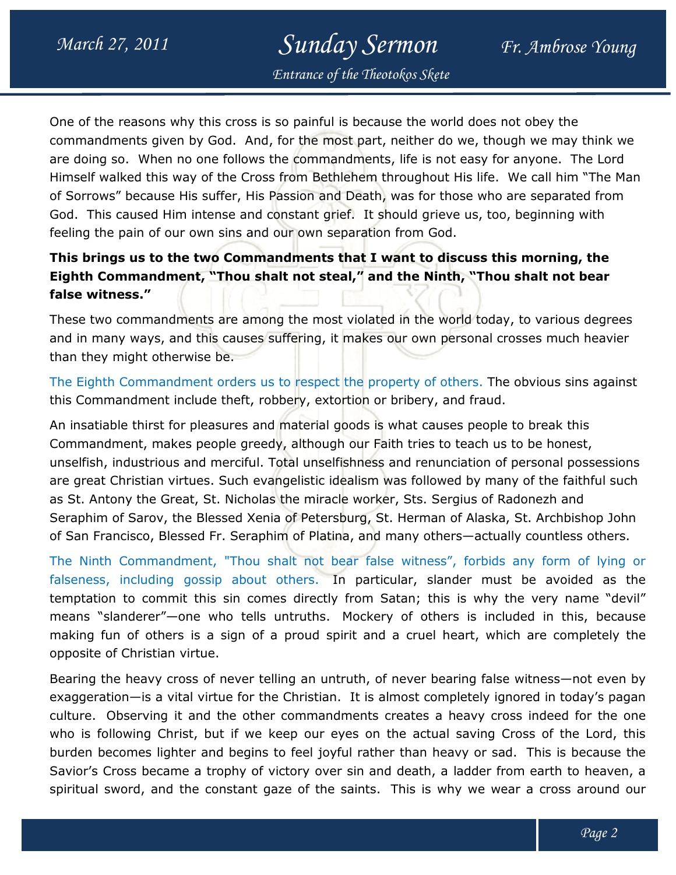# Sunday Sermon

Entrance of the Theotokos Skete

One of the reasons why this cross is so painful is because the world does not obey the commandments given by God. And, for the most part, neither do we, though we may think we are doing so. When no one follows the commandments, life is not easy for anyone. The Lord Himself walked this way of the Cross from Bethlehem throughout His life. of Sorrows" because His suffer, His Passion and Death, was for those who are separated from God. This caused Him intense and constant grief. It should grieve us, too, beginning with feeling the pain of our own sins and our own separation from God. g so. When no one follows the commandments, life is not easy for anyone. The Lo<br>walked this way of the Cross from Bethlehem throughout His life. We call him "The<br>ws" because His suffer, His Passion and Death, was for those We call him "The Man

### This brings us to the two Commandments that I want to discuss this morning, the This brings us to the two Commandments that I want to discuss this morning, the<br>Eighth Commandment, "Thou shalt not steal," and the Ninth, "Thou shalt not bear false witness."

These two commandments are among the most violated in the world today, to various degrees and in many ways, and this causes suffering, it makes our own personal crosses much heavier than they might otherwise be. These two commandments are among the most violated in the world today, to various degrees<br>and in many ways, and this causes suffering, it makes our own personal crosses much heavier<br>than they might otherwise be.<br>The Eighth

this Commandment include theft, robbery, extortion or bribery, and fraud.

An insatiable thirst for pleasures and material goods is what causes people to break this Commandment, makes people greedy, although our Faith tries to teach us to be honest, An insatiable thirst for pleasures and material goods is what causes people to break this<br>Commandment, makes people greedy, although our Faith tries to teach us to be honest,<br>unselfish, industrious and merciful. Total unse are great Christian virtues. Such evangelistic idealism was followed by many of the faithful such as St. Antony the Great, St. Nicholas the miracle worker, Sts. Sergius of Radonezh and are great Christian virtues. Such evangelistic idealism was followed by many of the faithful such<br>as St. Antony the Great, St. Nicholas the miracle worker, Sts. Sergius of Radonezh and<br>Seraphim of Sarov, the Blessed Xenia of San Francisco, Blessed Fr. Seraphim of Platina, and many others—actually countless others. constant grief. It should grieve us, too, beginning with<br>d our own separation from God.<br>**nandments that I want to discuss this morning, the**<br>halt not steal," and the Ninth, "Thou shalt not bear<br>ong the most violated in the

The Ninth Commandment, "Thou shalt not bear false witness", forbids any form of lying or falseness, including gossip about others. In particular, slander must be avoided as the temptation to commit this sin comes directly from Satan; this is why the very name "devil" temptation to commit this sin comes directly from Satan; this is why the very name "devil"<br>means "slanderer"—one who tells untruths. Mockery of others is included in this, because making fun of others is a sign of a proud spirit and a cruel heart, which are completely the opposite of Christian virtue. making fun of others is a sign of a proud spirit and a cruel heart, which are c<br>opposite of Christian virtue.<br>Bearing the heavy cross of never telling an untruth, of never bearing false witness bear false witness", forbids any form of lying or<br>In particular, slander must be avoided as the<br>y from Satan; this is why the very name "devil"<br>Mockery of others is included in this, because<br>spirit and a cruel heart, which

exaggeration—is a vital virtue for the Christian. It is almost completely ignored in today's pagan culture. Observing it and the other commandments creates a heavy cross indeed for the one who is following Christ, but if we keep our eyes on the actual saving Cross of the Lord, this burden becomes lighter and begins to feel joyful rather than heavy or sad. Savior's Cross became a trophy of victory over sin and death, a ladder from earth to heaven, a spiritual sword, and the constant gaze of the saints. This is why we wear a cross around ture. Observing it and the other commandments creates a heavy cross indeed for the one<br>o is following Christ, but if we keep our eyes on the actual saving Cross of the Lord, this<br>rden becomes lighter and begins to feel joy ignored in today's pagan<br>cross indeed for the one<br>g Cross of the Lord, this<br>sad. This is because the